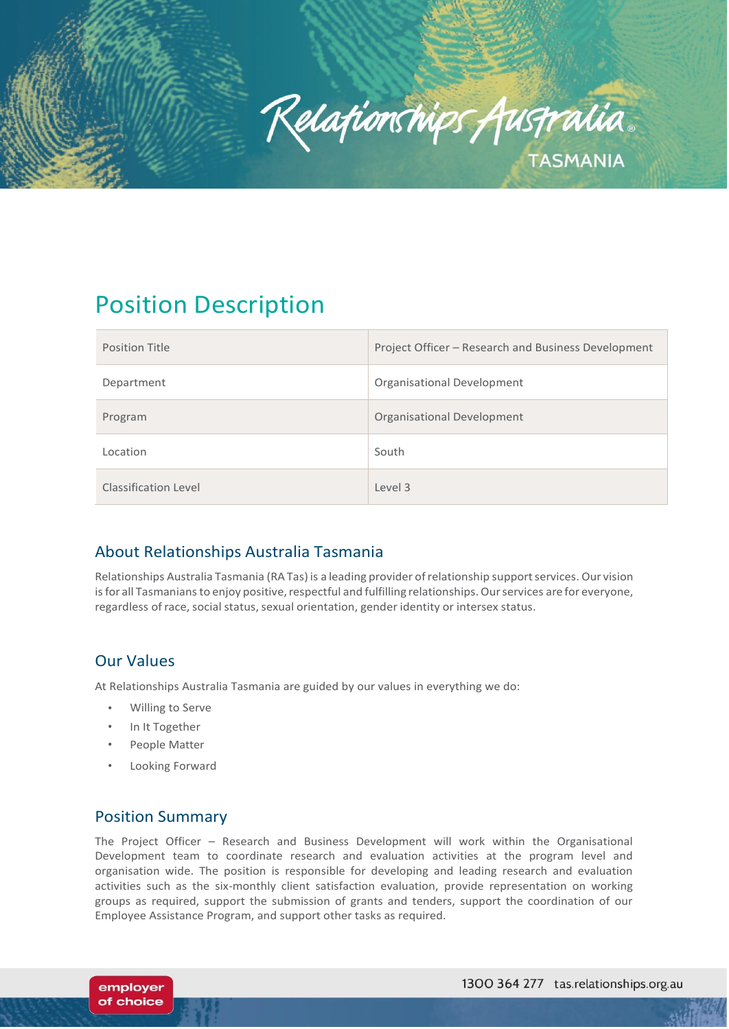

# Position Description

| <b>Position Title</b>       | Project Officer - Research and Business Development |
|-----------------------------|-----------------------------------------------------|
| Department                  | Organisational Development                          |
| Program                     | <b>Organisational Development</b>                   |
| Location                    | South                                               |
| <b>Classification Level</b> | Level 3                                             |

# About Relationships Australia Tasmania

Relationships Australia Tasmania (RA Tas) is a leading provider ofrelationship supportservices. Our vision is for all Tasmanians to enjoy positive, respectful and fulfilling relationships. Our services are for everyone, regardless of race, social status, sexual orientation, gender identity or intersex status.

# Our Values

At Relationships Australia Tasmania are guided by our values in everything we do:

- Willing to Serve
- In It Together
- People Matter
- Looking Forward

# Position Summary

employer of choice

The Project Officer – Research and Business Development will work within the Organisational Development team to coordinate research and evaluation activities at the program level and organisation wide. The position is responsible for developing and leading research and evaluation activities such as the six-monthly client satisfaction evaluation, provide representation on working groups as required, support the submission of grants and tenders, support the coordination of our Employee Assistance Program, and support other tasks as required.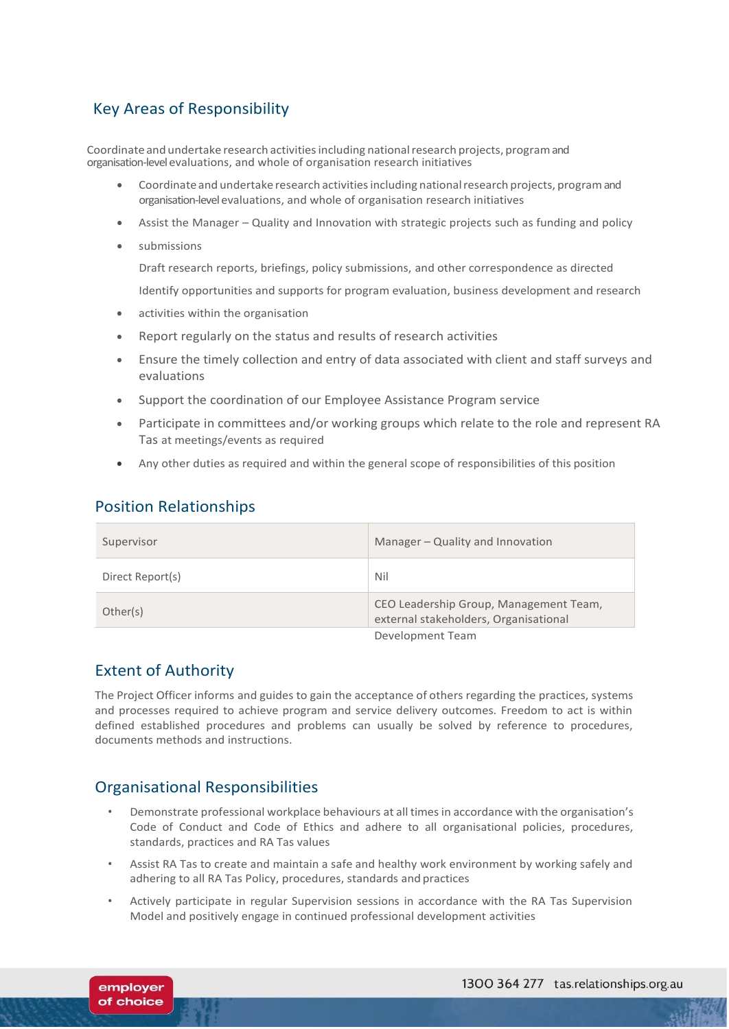# Key Areas of Responsibility

Coordinate and undertake research activitiesincluding nationalresearch projects, programand organisation-level evaluations, and whole of organisation research initiatives

- Coordinate and undertake research activities including national research projects, program and organisation-level evaluations, and whole of organisation research initiatives
- Assist the Manager Quality and Innovation with strategic projects such as funding and policy
- submissions

Draft research reports, briefings, policy submissions, and other correspondence as directed

Identify opportunities and supports for program evaluation, business development and research

- activities within the organisation
- Report regularly on the status and results of research activities
- Ensure the timely collection and entry of data associated with client and staff surveys and evaluations
- Support the coordination of our Employee Assistance Program service
- Participate in committees and/or working groups which relate to the role and represent RA Tas at meetings/events as required
- Any other duties as required and within the general scope of responsibilities of this position

#### Position Relationships

| Supervisor       | Manager - Quality and Innovation                                                |
|------------------|---------------------------------------------------------------------------------|
| Direct Report(s) | Nil                                                                             |
| Other(s)         | CEO Leadership Group, Management Team,<br>external stakeholders, Organisational |
|                  | Development Team                                                                |

# Extent of Authority

employer of choice

The Project Officer informs and guides to gain the acceptance of others regarding the practices, systems and processes required to achieve program and service delivery outcomes. Freedom to act is within defined established procedures and problems can usually be solved by reference to procedures, documents methods and instructions.

# Organisational Responsibilities

- Demonstrate professional workplace behaviours at all times in accordance with the organisation's Code of Conduct and Code of Ethics and adhere to all organisational policies, procedures, standards, practices and RA Tas values
- Assist RA Tas to create and maintain a safe and healthy work environment by working safely and adhering to all RA Tas Policy, procedures, standards and practices
- Actively participate in regular Supervision sessions in accordance with the RA Tas Supervision Model and positively engage in continued professional development activities